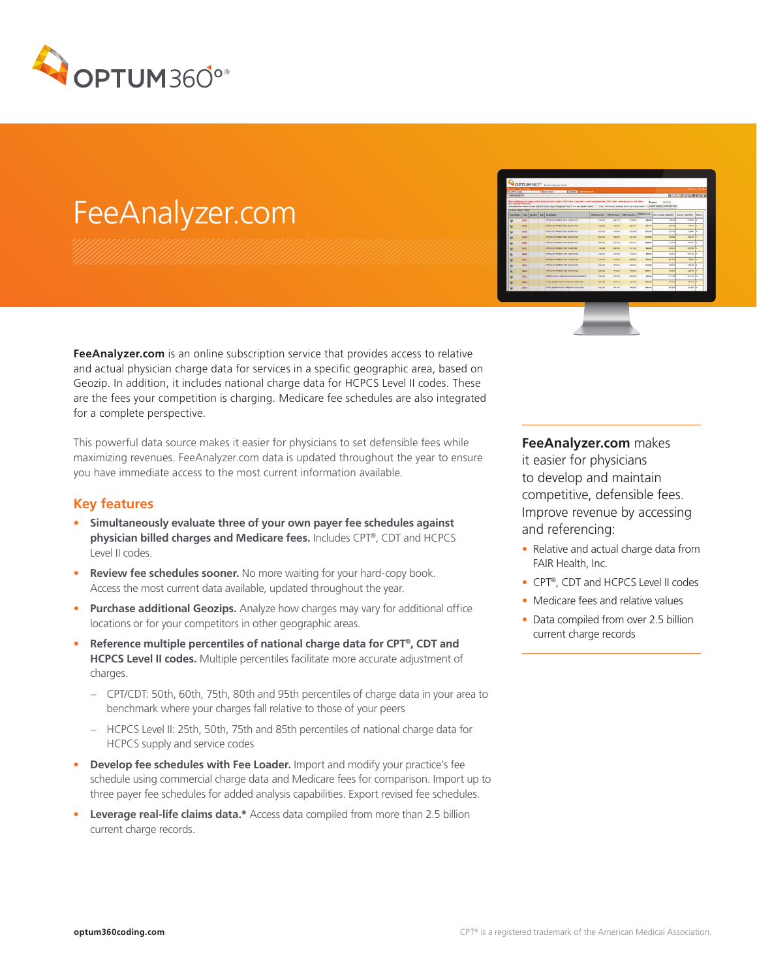

## FeeAnalyzer.com

FeeAnalyzer.com is an online subscription service that provides access to relative and actual physician charge data for services in a specific geographic area, based on Geozip. In addition, it includes national charge data for HCPCS Level II codes. These are the fees your competition is charging. Medicare fee schedules are also integrated for a complete perspective.

This powerful data source makes it easier for physicians to set defensible fees while maximizing revenues. FeeAnalyzer.com data is updated throughout the year to ensure you have immediate access to the most current information available.

## **Key features**

- **• Simultaneously evaluate three of your own payer fee schedules against physician billed charges and Medicare fees.** Includes CPT®, CDT and HCPCS Level II codes.
- **• Review fee schedules sooner.** No more waiting for your hard-copy book. Access the most current data available, updated throughout the year.
- **• Purchase additional Geozips.** Analyze how charges may vary for additional office locations or for your competitors in other geographic areas.
- **• Reference multiple percentiles of national charge data for CPT®, CDT and HCPCS Level II codes.** Multiple percentiles facilitate more accurate adjustment of charges.
	- − CPT/CDT: 50th, 60th, 75th, 80th and 95th percentiles of charge data in your area to benchmark where your charges fall relative to those of your peers
	- − HCPCS Level II: 25th, 50th, 75th and 85th percentiles of national charge data for HCPCS supply and service codes
- **• Develop fee schedules with Fee Loader.** Import and modify your practice's fee schedule using commercial charge data and Medicare fees for comparison. Import up to three payer fee schedules for added analysis capabilities. Export revised fee schedules.
- **Leverage real-life claims data.\*** Access data compiled from more than 2.5 billion current charge records.

| <b><i><u>Branch Objectives</u></i></b><br>All CPTS Cates |              |               | <b>BETWEENING</b><br><b>County</b> not will be will                                                                                                                                                                                                   |                      |                     |                                             |                    |                                                             | Welcame, John Br                 |               |
|----------------------------------------------------------|--------------|---------------|-------------------------------------------------------------------------------------------------------------------------------------------------------------------------------------------------------------------------------------------------------|----------------------|---------------------|---------------------------------------------|--------------------|-------------------------------------------------------------|----------------------------------|---------------|
| Fox Analysis W.                                          |              |               |                                                                                                                                                                                                                                                       |                      |                     |                                             |                    |                                                             | <b>RATCHE KAISGRAFALS (MILA)</b> |               |
| pour range to 1000 codes.                                |              |               | When entering a code name, stage limit your code canne to 1000 codes. If you enter a code range baser than 1000 codes, Feedinglyswators will reduce<br>Beled Midligen Carrest ocality (2020-57 LEA) Amdrew (Executed Area) 1 U.S. Zip Stiller - 10044 |                      |                     | LISA - ANYTOWN SAMPLE DATA, 2P CODE AREA .* |                    | 动动造<br><b>Export</b><br>Contata Director E Customize View D |                                  |               |
| <b>Thomas Goody, Conce</b>                               |              |               |                                                                                                                                                                                                                                                       |                      |                     |                                             | <b>Mediums</b> Fox |                                                             |                                  |               |
| <b>Unav Meters</b>                                       | Ceda         | <b>Modday</b> | <b>Sub Examption</b>                                                                                                                                                                                                                                  | <b>USA Personals</b> | <b>TWO Virtuous</b> | <b>SOB Percential</b>                       |                    | <b>Non-Facility Total BWF</b>                               | Earthly Total EVU                | <b>Status</b> |
| ŵ                                                        | \$1261       |               | OFFICE OLDFARENC MEN 13 MAJOTER                                                                                                                                                                                                                       | <b>Statistic</b>     | 208.71%             | \$105.00                                    | \$40.26            | <b>KNOW</b>                                                 | <b>B.70065</b>                   | ×             |
| v                                                        | 91292        |               | OFFICE OUTPATIENT NEW 20 MINUTES                                                                                                                                                                                                                      | 916240               | 142.02%             | \$251.94                                    | \$81.73            | 227730                                                      | 1.49484                          | ٠             |
| v                                                        | 33292        |               | OFFICE OUTPASSION NEW 30 MINUTES                                                                                                                                                                                                                      | <b>SYLFAN</b>        | <b>TELESA</b>       | \$300.00                                    | \$97.26            | 3.26735                                                     | 225667                           | ٠             |
| v                                                        | 91204        |               | OFFICE CUTPHTENT NEW 45 MINUTES                                                                                                                                                                                                                       | 5333.75              | 106.00%             | \$451.82                                    | \$179.90           | 4,82902                                                     | 3.82408                          | $\lambda$     |
| ×                                                        | \$1200       |               | OFFICE CUTPATION! MEN'RO MINUTES                                                                                                                                                                                                                      | <b>better</b>        | <b>STEPHA</b>       | \$562.55                                    | 1222.85            | 6.16700                                                     | 4.97951                          | ٠             |
| k.                                                       | score        |               | OFFICE OUTPHTSD/CT1007 6 MB/LTES                                                                                                                                                                                                                      | \$85.00              | 326,55%             | <b>SYNAK</b>                                | 122.58             | 242010                                                      | 0.27208                          |               |
| v                                                        | 11212        |               | OFFICE CUTPATIENT VISIT 13 MINUTES                                                                                                                                                                                                                    | signan               | 172.03%             | 1118.52                                     | \$45.83            | 1,33821                                                     | 0.75/20                          | ٠             |
| V.                                                       | \$12.7       |               | OFFICE CUTPICTENT VISIT 15 MINUTES.                                                                                                                                                                                                                   | \$154.40             | 110,32%             | \$300.66                                    | \$79.64            | 221915                                                      | <b>LAMAX</b>                     |               |
| v                                                        | <b>SIZIA</b> |               | OFFICE OUTPUTIENT VISIT 25 MAILTES                                                                                                                                                                                                                    | 632140               | <b>SETTIN</b>       | \$205,55                                    | <b>SHILM</b>       | 125520                                                      | 212022                           | ٠             |
| s                                                        | 99215        |               | OFFICE OUTRATIONT HIGHLAD MINUTES                                                                                                                                                                                                                     | \$350.24             | <b>SAY BANK</b>     | \$450.58                                    | \$156.74           | 4,36663                                                     | 3.26489                          | ×             |
| v                                                        | 9122         |               | OBSERVATION CHRIS DISCHARGE MANAGEMENT                                                                                                                                                                                                                | <b>SHELM</b>         | 106,626             | \$155,66                                    | \$77.54            | 3.1346                                                      | <b>BATHEA</b>                    | ٠             |
| v                                                        | 3127.0       |               | INTHL OESERVATION CARE DAY 30 SEW 753                                                                                                                                                                                                                 | 5237.09              | 145,21%             | \$294.83                                    | \$105.52           | 2,84012                                                     | 214013                           | ٠             |
| v                                                        | state        |               | INTHL CODER WHO I CARE DAY SOURIUMES                                                                                                                                                                                                                  | 9322.42              | 144,15%             | \$400.90                                    | <b>Ster.vy</b>     | 4.81000                                                     | 4.01000                          | ٠             |
|                                                          |              |               |                                                                                                                                                                                                                                                       |                      |                     |                                             |                    |                                                             |                                  |               |

**FeeAnalyzer.com** makes it easier for physicians to develop and maintain competitive, defensible fees. Improve revenue by accessing and referencing:

- Relative and actual charge data from FAIR Health, Inc.
- CPT®, CDT and HCPCS Level II codes
- Medicare fees and relative values
- Data compiled from over 2.5 billion current charge records